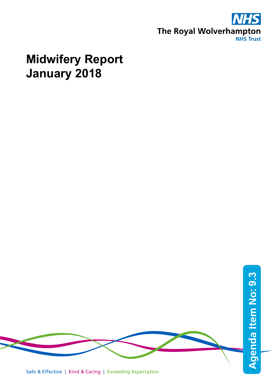

## **Midwifery Report January 2018**

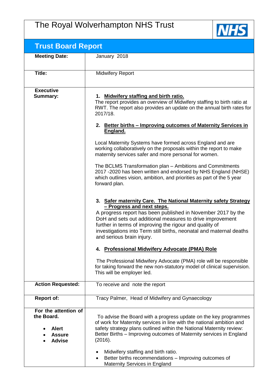## The Royal Wolverhampton NHS Trust



| <b>Trust Board Report</b>                                                            |                                                                                                                                                                                                                                                                                                                                                                                           |
|--------------------------------------------------------------------------------------|-------------------------------------------------------------------------------------------------------------------------------------------------------------------------------------------------------------------------------------------------------------------------------------------------------------------------------------------------------------------------------------------|
| <b>Meeting Date:</b>                                                                 | January 2018                                                                                                                                                                                                                                                                                                                                                                              |
|                                                                                      |                                                                                                                                                                                                                                                                                                                                                                                           |
| <b>Title:</b>                                                                        | <b>Midwifery Report</b>                                                                                                                                                                                                                                                                                                                                                                   |
|                                                                                      |                                                                                                                                                                                                                                                                                                                                                                                           |
| <b>Executive</b><br><b>Summary:</b>                                                  | 1. Midwifery staffing and birth ratio.<br>The report provides an overview of Midwifery staffing to birth ratio at<br>RWT. The report also provides an update on the annual birth rates for<br>2017/18.                                                                                                                                                                                    |
|                                                                                      | 2. Better births - Improving outcomes of Maternity Services in<br>England.                                                                                                                                                                                                                                                                                                                |
|                                                                                      | Local Maternity Systems have formed across England and are<br>working collaboratively on the proposals within the report to make<br>maternity services safer and more personal for women.                                                                                                                                                                                                 |
|                                                                                      | The BCLMS Transformation plan - Ambitions and Commitments<br>2017 -2020 has been written and endorsed by NHS England (NHSE)<br>which outlines vision, ambition, and priorities as part of the 5 year<br>forward plan.                                                                                                                                                                     |
|                                                                                      | 3. Safer maternity Care. The National Maternity safety Strategy<br>- Progress and next steps.<br>A progress report has been published in November 2017 by the<br>DoH and sets out additional measures to drive improvement<br>further in terms of improving the rigour and quality of<br>investigations into Term still births, neonatal and maternal deaths<br>and serious brain injury. |
|                                                                                      | 4. Professional Midwifery Advocate (PMA) Role                                                                                                                                                                                                                                                                                                                                             |
|                                                                                      | The Professional Midwifery Advocate (PMA) role will be responsible<br>for taking forward the new non-statutory model of clinical supervision.<br>This will be employer led.                                                                                                                                                                                                               |
| <b>Action Requested:</b>                                                             | To receive and note the report                                                                                                                                                                                                                                                                                                                                                            |
| <b>Report of:</b>                                                                    | Tracy Palmer, Head of Midwifery and Gynaecology                                                                                                                                                                                                                                                                                                                                           |
| For the attention of<br>the Board.<br><b>Alert</b><br><b>Assure</b><br><b>Advise</b> | To advise the Board with a progress update on the key programmes<br>of work for Maternity services in line with the national ambition and<br>safety strategy plans outlined within the National Maternity review:<br>Better Births – Improving outcomes of Maternity services in England<br>(2016).                                                                                       |
|                                                                                      | Midwifery staffing and birth ratio.<br>Better births recommendations - Improving outcomes of<br>$\bullet$<br><b>Maternity Services in England</b>                                                                                                                                                                                                                                         |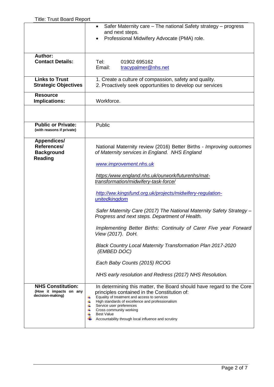|                                                                          | Safer Maternity care - The national Safety strategy - progress<br>$\bullet$<br>and next steps.<br>Professional Midwifery Advocate (PMA) role.                                                                                                                                                                                                                                   |
|--------------------------------------------------------------------------|---------------------------------------------------------------------------------------------------------------------------------------------------------------------------------------------------------------------------------------------------------------------------------------------------------------------------------------------------------------------------------|
| Author:<br><b>Contact Details:</b>                                       | Tel:<br>01902 695162<br>Email:<br>tracypalmer@nhs.net                                                                                                                                                                                                                                                                                                                           |
| <b>Links to Trust</b><br><b>Strategic Objectives</b>                     | 1. Create a culture of compassion, safety and quality.<br>2. Proactively seek opportunities to develop our services                                                                                                                                                                                                                                                             |
| <b>Resource</b><br><b>Implications:</b>                                  | Workforce.                                                                                                                                                                                                                                                                                                                                                                      |
|                                                                          |                                                                                                                                                                                                                                                                                                                                                                                 |
| <b>Public or Private:</b><br>(with reasons if private)                   | Public                                                                                                                                                                                                                                                                                                                                                                          |
| <b>Appendices/</b><br>References/<br><b>Background</b><br><b>Reading</b> | National Maternity review (2016) Better Births - Improving outcomes<br>of Maternity services in England. NHS England<br>www.improvement.nhs.uk                                                                                                                                                                                                                                  |
|                                                                          | https:/www.england.nhs.uk/ourwork/futurenhs/mat-<br>transformation/midwifery-task-force/                                                                                                                                                                                                                                                                                        |
|                                                                          | http://ww.kingsfund.org.uk/projects/midwifery-regulation-<br>unitedkingdom                                                                                                                                                                                                                                                                                                      |
|                                                                          | Safer Maternity Care (2017) The National Maternity Safety Strategy -<br>Progress and next steps. Department of Health.                                                                                                                                                                                                                                                          |
|                                                                          | Implementing Better Births: Continuity of Carer Five year Forward<br>View (2017). DoH.                                                                                                                                                                                                                                                                                          |
|                                                                          | Black Country Local Maternity Transformation Plan 2017-2020<br>(EMBED DOC)                                                                                                                                                                                                                                                                                                      |
|                                                                          | Each Baby Counts (2015) RCOG                                                                                                                                                                                                                                                                                                                                                    |
|                                                                          | NHS early resolution and Redress (2017) NHS Resolution.                                                                                                                                                                                                                                                                                                                         |
| <b>NHS Constitution:</b><br>(How it impacts on any<br>decision-making)   | In determining this matter, the Board should have regard to the Core<br>principles contained in the Constitution of:<br>Equality of treatment and access to services<br>4<br>4<br>High standards of excellence and professionalism<br>Service user preferences<br>4<br>Cross community working<br>÷<br><b>Best Value</b><br>Accountability through local influence and scrutiny |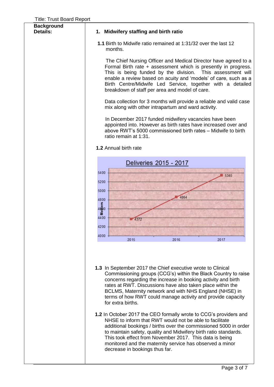| <b>Background</b><br>Details: | 1. Midwifery staffing and birth ratio                                                                                                                                                                                                                                                                                                                                                                                                                                                                                                                                                                                                                                                                                                                                                                                                        |
|-------------------------------|----------------------------------------------------------------------------------------------------------------------------------------------------------------------------------------------------------------------------------------------------------------------------------------------------------------------------------------------------------------------------------------------------------------------------------------------------------------------------------------------------------------------------------------------------------------------------------------------------------------------------------------------------------------------------------------------------------------------------------------------------------------------------------------------------------------------------------------------|
|                               | 1.1 Birth to Midwife ratio remained at 1:31/32 over the last 12<br>months.                                                                                                                                                                                                                                                                                                                                                                                                                                                                                                                                                                                                                                                                                                                                                                   |
|                               | The Chief Nursing Officer and Medical Director have agreed to a<br>Formal Birth rate + assessment which is presently in progress.<br>This is being funded by the division. This assessment will<br>enable a review based on acuity and 'models' of care, such as a<br>Birth Centre/Midwife Led Service, together with a detailed<br>breakdown of staff per area and model of care.                                                                                                                                                                                                                                                                                                                                                                                                                                                           |
|                               | Data collection for 3 months will provide a reliable and valid case<br>mix along with other intrapartum and ward activity.                                                                                                                                                                                                                                                                                                                                                                                                                                                                                                                                                                                                                                                                                                                   |
|                               | In December 2017 funded midwifery vacancies have been<br>appointed into. However as birth rates have increased over and<br>above RWT's 5000 commissioned birth rates - Midwife to birth<br>ratio remain at 1:31.                                                                                                                                                                                                                                                                                                                                                                                                                                                                                                                                                                                                                             |
|                               | 1.2 Annual birth rate                                                                                                                                                                                                                                                                                                                                                                                                                                                                                                                                                                                                                                                                                                                                                                                                                        |
|                               | Deliveries 2015 - 2017                                                                                                                                                                                                                                                                                                                                                                                                                                                                                                                                                                                                                                                                                                                                                                                                                       |
|                               | 5400<br>5345<br>5200<br>5000<br>4864<br>4800<br>$\overline{\text{Mo}}_{\text{eff}}^{\text{hens}}$<br>4400<br>4372<br>4200<br>4000                                                                                                                                                                                                                                                                                                                                                                                                                                                                                                                                                                                                                                                                                                            |
|                               | 2015<br>2016<br>2017                                                                                                                                                                                                                                                                                                                                                                                                                                                                                                                                                                                                                                                                                                                                                                                                                         |
|                               | 1.3 In September 2017 the Chief executive wrote to Clinical<br>Commissioning groups (CCG's) within the Black Country to raise<br>concerns regarding the increase in booking activity and birth<br>rates at RWT. Discussions have also taken place within the<br>BCLMS, Maternity network and with NHS England (NHSE) in<br>terms of how RWT could manage activity and provide capacity<br>for extra births.<br>1.2 In October 2017 the CEO formally wrote to CCG's providers and<br>NHSE to inform that RWT would not be able to facilitate<br>additional bookings / births over the commissioned 5000 in order<br>to maintain safety, quality and Midwifery birth ratio standards.<br>This took effect from November 2017. This data is being<br>monitored and the maternity service has observed a minor<br>decrease in bookings thus far. |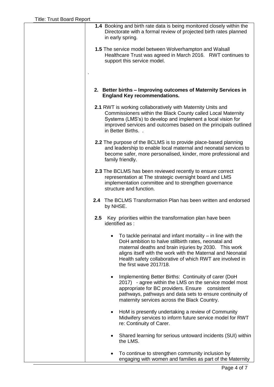| 1.4 Booking and birth rate data is being monitored closely within the<br>Directorate with a formal review of projected birth rates planned<br>in early spring.                                                                                                                                                                      |
|-------------------------------------------------------------------------------------------------------------------------------------------------------------------------------------------------------------------------------------------------------------------------------------------------------------------------------------|
| <b>1.5</b> The service model between Wolverhampton and Walsall<br>Healthcare Trust was agreed in March 2016. RWT continues to<br>support this service model.                                                                                                                                                                        |
| 2. Better births - Improving outcomes of Maternity Services in<br><b>England Key recommendations.</b>                                                                                                                                                                                                                               |
| 2.1 RWT is working collaboratively with Maternity Units and<br>Commissioners within the Black County called Local Maternity<br>Systems (LMS's) to develop and implement a local vision for<br>improved services and outcomes based on the principals outlined<br>in Better Births                                                   |
| 2.2 The purpose of the BCLMS is to provide place-based planning<br>and leadership to enable local maternal and neonatal services to<br>become safer, more personalised, kinder, more professional and<br>family friendly.                                                                                                           |
| 2.3 The BCLMS has been reviewed recently to ensure correct<br>representation at The strategic oversight board and LMS<br>implementation committee and to strengthen governance<br>structure and function.                                                                                                                           |
| 2.4 The BCLMS Transformation Plan has been written and endorsed<br>by NHSE.                                                                                                                                                                                                                                                         |
| Key priorities within the transformation plan have been<br>$2.5\,$<br>identified as:                                                                                                                                                                                                                                                |
| To tackle perinatal and infant mortality $-$ in line with the<br>DoH ambition to halve stillbirth rates, neonatal and<br>maternal deaths and brain injuries by 2030. This work<br>aligns itself with the work with the Maternal and Neonatal<br>Health safety collaborative of which RWT are involved in<br>the first wave 2017/18. |
| Implementing Better Births: Continuity of carer (DoH<br>$\bullet$<br>2017) - agree within the LMS on the service model most<br>appropriate for BC providers. Ensure consistent<br>pathways, pathways and data sets to ensure continuity of<br>maternity services across the Black Country.                                          |
| HoM is presently undertaking a review of Community<br>٠<br>Midwifery services to inform future service model for RWT<br>re: Continuity of Carer.                                                                                                                                                                                    |
| Shared learning for serious untoward incidents (SUI) within<br>٠<br>the LMS.                                                                                                                                                                                                                                                        |
| To continue to strengthen community inclusion by<br>engaging with women and families as part of the Maternity                                                                                                                                                                                                                       |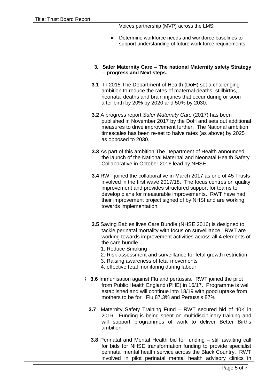| Voices partnership (MVP) across the LMS.                                                                                                                                                                                                                                                                                                                                                                   |
|------------------------------------------------------------------------------------------------------------------------------------------------------------------------------------------------------------------------------------------------------------------------------------------------------------------------------------------------------------------------------------------------------------|
| Determine workforce needs and workforce baselines to<br>support understanding of future work force requirements.                                                                                                                                                                                                                                                                                           |
| 3. Safer Maternity Care - The national Maternity safety Strategy<br>- progress and Next steps.                                                                                                                                                                                                                                                                                                             |
| 3.1 In 2015 The Department of Health (DoH) set a challenging<br>ambition to reduce the rates of maternal deaths, stillbirths,<br>neonatal deaths and brain injuries that occur during or soon<br>after birth by 20% by 2020 and 50% by 2030.                                                                                                                                                               |
| 3.2 A progress report Safer Maternity Care (2017) has been<br>published in November 2017 by the DoH and sets out additional<br>measures to drive improvement further. The National ambition<br>timescales has been re-set to halve rates (as above) by 2025<br>as opposed to 2030.                                                                                                                         |
| 3.3 As part of this ambition The Department of Health announced<br>the launch of the National Maternal and Neonatal Health Safety<br>Collaborative in October 2016 lead by NHSE.                                                                                                                                                                                                                           |
| 3.4 RWT joined the collaborative in March 2017 as one of 45 Trusts<br>involved in the first wave 2017/18. The focus centres on quality<br>improvement and provides structured support for teams to<br>develop plans for measurable improvements. RWT have had<br>their improvement project signed of by NHSI and are working<br>towards implementation.                                                    |
| 3.5 Saving Babies lives Care Bundle (NHSE 2016) is designed to<br>tackle perinatal mortality with focus on surveillance. RWT are<br>working towards improvement activities across all 4 elements of<br>the care bundle.<br>1. Reduce Smoking<br>2. Risk assessment and surveillance for fetal growth restriction<br>3. Raising awareness of fetal movements<br>4. effective fetal monitoring during labour |
| 3.6 Immunisation against Flu and pertussis. RWT joined the pilot<br>from Public Health England (PHE) in 16/17. Programme is well<br>established and will continue into 18/19 with good uptake from<br>mothers to be for Flu 87.3% and Pertussis 87%.                                                                                                                                                       |
| Maternity Safety Training Fund – RWT secured bid of 40K in<br>3.7<br>2016. Funding is being spent on multidisciplinary training and<br>will support programmes of work to deliver Better Births<br>ambition.                                                                                                                                                                                               |
| 3.8 Perinatal and Mental Health bid for funding - still awaiting call<br>for bids for NHSE transformation funding to provide specialist<br>perinatal mental health service across the Black Country. RWT<br>involved in pilot perinatal mental health advisory clinics in                                                                                                                                  |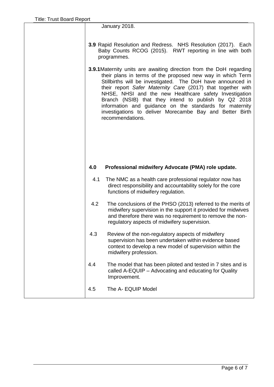January 2018.

- **3.9** Rapid Resolution and Redress. NHS Resolution (2017). Each Baby Counts RCOG (2015). RWT reporting in line with both programmes.
- **3.9.1**Maternity units are awaiting direction from the DoH regarding their plans in terms of the proposed new way in which Term Stillbirths will be investigated. The DoH have announced in their report *Safer Maternity Care* (2017) that together with NHSE, NHSI and the new Healthcare safety Investigation Branch (NSIB) that they intend to publish by Q2 2018 information and guidance on the standards for maternity investigations to deliver Morecambe Bay and Better Birth recommendations.

## **4.0 Professional midwifery Advocate (PMA) role update.**

- 4.1 The NMC as a health care professional regulator now has direct responsibility and accountability solely for the core functions of midwifery regulation.
- 4.2 The conclusions of the PHSO (2013) referred to the merits of midwifery supervision in the support it provided for midwives and therefore there was no requirement to remove the nonregulatory aspects of midwifery supervision.
- 4.3 Review of the non-regulatory aspects of midwifery supervision has been undertaken within evidence based context to develop a new model of supervision within the midwifery profession.
- 4.4 The model that has been piloted and tested in 7 sites and is called A-EQUIP – Advocating and educating for Quality Improvement.
- 4.5 The A- EQUIP Model